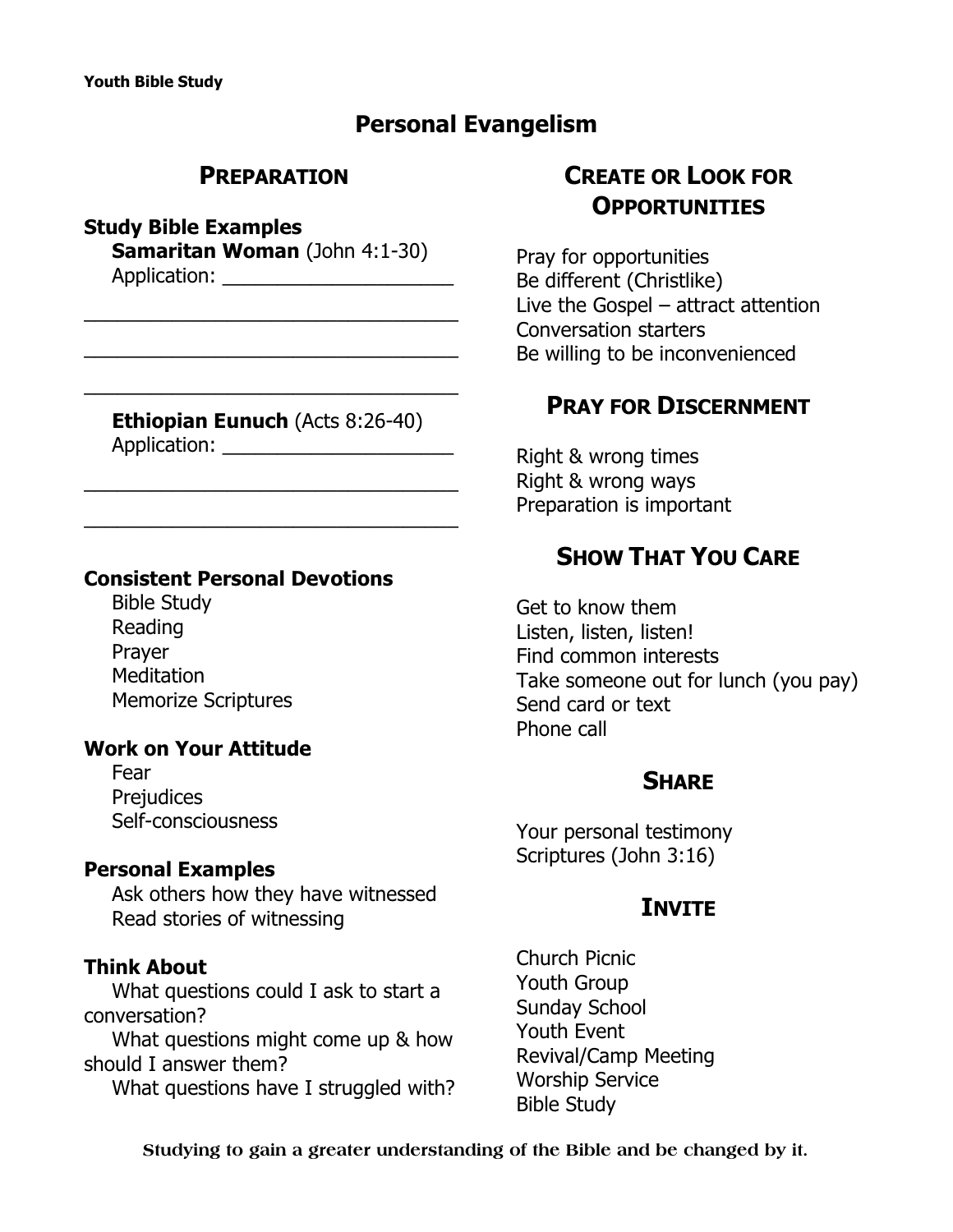## **Personal Evangelism**

### **PREPARATION**

#### **Study Bible Examples**

**Samaritan Woman** (John 4:1-30) Application: \_\_\_\_\_\_\_\_\_\_\_\_\_\_\_\_\_\_\_\_\_

 $\overline{\phantom{a}}$  , and the contract of the contract of the contract of the contract of the contract of the contract of the contract of the contract of the contract of the contract of the contract of the contract of the contrac

\_\_\_\_\_\_\_\_\_\_\_\_\_\_\_\_\_\_\_\_\_\_\_\_\_\_\_\_\_\_\_\_\_\_

 $\overline{\phantom{a}}$  , and the contract of the contract of the contract of the contract of the contract of the contract of the contract of the contract of the contract of the contract of the contract of the contract of the contrac

**Ethiopian Eunuch (Acts 8:26-40)** Application: \_\_\_\_\_\_\_\_\_\_\_\_\_\_\_\_\_\_\_\_\_

 $\overline{\phantom{a}}$  , and the contract of the contract of the contract of the contract of the contract of the contract of the contract of the contract of the contract of the contract of the contract of the contract of the contrac

\_\_\_\_\_\_\_\_\_\_\_\_\_\_\_\_\_\_\_\_\_\_\_\_\_\_\_\_\_\_\_\_\_\_

#### **Consistent Personal Devotions**

Bible Study Reading Prayer **Meditation** Memorize Scriptures

#### **Work on Your Attitude**

Fear **Prejudices** Self-consciousness

#### **Personal Examples**

Ask others how they have witnessed Read stories of witnessing

#### **Think About**

What questions could I ask to start a conversation?

What questions might come up & how should I answer them?

What questions have I struggled with?

# **CREATE OR LOOK FOR OPPORTUNITIES**

Pray for opportunities Be different (Christlike) Live the Gospel – attract attention Conversation starters Be willing to be inconvenienced

## **PRAY FOR DISCERNMENT**

Right & wrong times Right & wrong ways Preparation is important

## **SHOW THAT YOU CARE**

Get to know them Listen, listen, listen! Find common interests Take someone out for lunch (you pay) Send card or text Phone call

#### **SHARE**

Your personal testimony Scriptures (John 3:16)

## **INVITE**

Church Picnic Youth Group Sunday School Youth Event Revival/Camp Meeting Worship Service Bible Study

**Studying to gain a greater understanding of the Bible and be changed by it.**